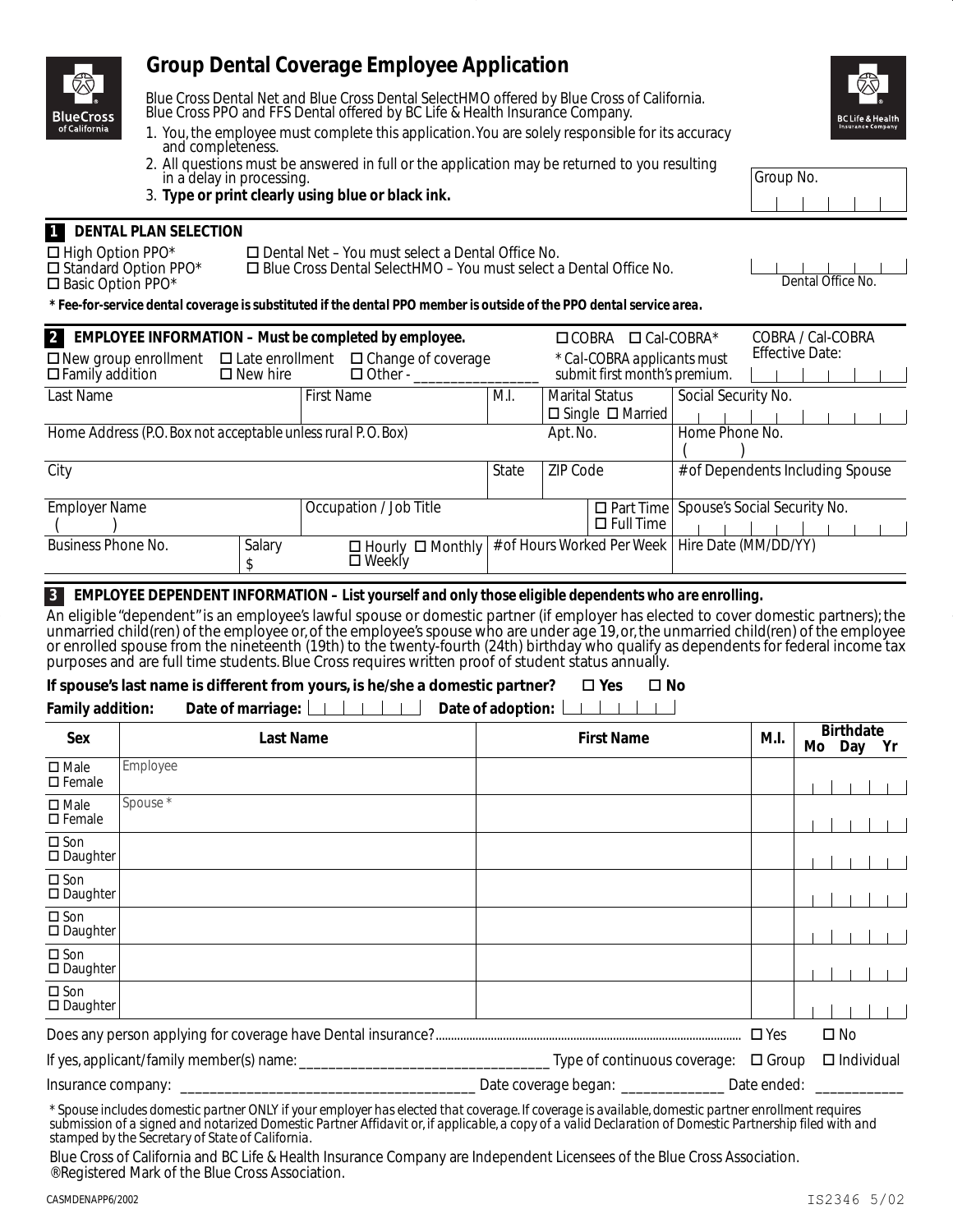

# **Group Dental Coverage Employee Application**

Blue Cross Dental Net and Blue Cross Dental SelectHMO offered by Blue Cross of California. Blue Cross PPO and FFS Dental offered by BC Life & Health Insurance Company.

- 1. You, the employee must complete this application. You are solely responsible for its accuracy and completeness.
- 2. All questions must be answered in full or the application may be returned to you resulting in a delay in processing.
- 3. **Type or print clearly using blue or black ink.**

## **1 DENTAL PLAN SELECTION**

 High Option PPO\* Dental Net – You must select a Dental Office No.  $\square$  Blue Cross Dental SelectHMO – You must select a Dental Office No.  $\square$  Basic Option PPO\*

*\* Fee-for-service dental coverage is substituted if the dental PPO member is outside of the PPO dental service area.*

| 2 EMPLOYEE INFORMATION - Must be completed by employee.<br>$\Box$ Late enrollment<br>$\square$ New group enrollment<br>$\square$ Family addition<br>$\Box$ Change of coverage<br>$\Box$ Other -<br>$\Box$ New hire |             |                                                                                                             |       | $\Box$ COBRA $\Box$ Cal-COBRA*<br>* Cal-COBRA applicants must<br>submit first month's premium. |                  |                                               | COBRA / Cal-COBRA<br><b>Effective Date:</b> |  |
|--------------------------------------------------------------------------------------------------------------------------------------------------------------------------------------------------------------------|-------------|-------------------------------------------------------------------------------------------------------------|-------|------------------------------------------------------------------------------------------------|------------------|-----------------------------------------------|---------------------------------------------|--|
| Last Name<br><b>First Name</b>                                                                                                                                                                                     |             | M.I.                                                                                                        |       | <b>Marital Status</b><br>Social Security No.<br>$\Box$ Single $\Box$ Married                   |                  |                                               |                                             |  |
| Home Address (P.O. Box not acceptable unless rural P.O. Box)                                                                                                                                                       |             |                                                                                                             |       | Apt. No.                                                                                       |                  | Home Phone No.                                |                                             |  |
| City                                                                                                                                                                                                               |             |                                                                                                             | State | <b>ZIP Code</b>                                                                                |                  | # of Dependents Including Spouse              |                                             |  |
| <b>Employer Name</b>                                                                                                                                                                                               |             | Occupation / Job Title                                                                                      |       |                                                                                                | $\Box$ Full Time | $\Box$ Part Time Spouse's Social Security No. |                                             |  |
| Business Phone No.                                                                                                                                                                                                 | Salary<br>S | $\Box$ Hourly $\Box$ Monthly $\#$ of Hours Worked Per Week   Hire Date ( <i>MM/DD/YY</i> )<br>$\Box$ Weekly |       |                                                                                                |                  |                                               |                                             |  |

#### **3 EMPLOYEE DEPENDENT INFORMATION –** *List yourself and only those eligible dependents who are enrolling.*

An eligible "dependent" is an employee's lawful spouse or domestic partner (if employer has elected to cover domestic partners); the unmarried child(ren) of the employee or, of the employee's spouse who are under age 19, or, the unmarried child(ren) of the employee or enrolled spouse from the nineteenth (19th) to the twenty-fourth (24th) birthday who qualify as dependents for federal income tax purposes and are full time students. Blue Cross requires written proof of student status annually.

# **If spouse's last name is different from yours, is he/she a domestic partner?**  $\Box$  Yes  $\Box$  No

| $\Box$ Date of adoption: $\Box$ $\Box$<br>Date of marriage: $\boxed{\begin{array}{c c} \perp \perp \perp \perp \perp \end{array}}$ | Family addition: |  |  |  |  |  |
|------------------------------------------------------------------------------------------------------------------------------------|------------------|--|--|--|--|--|
|------------------------------------------------------------------------------------------------------------------------------------|------------------|--|--|--|--|--|

| Sex                                 | Last Name  | <b>First Name</b>                  | M.I.          | <b>Birthdate</b> |                   |    |
|-------------------------------------|------------|------------------------------------|---------------|------------------|-------------------|----|
|                                     |            |                                    |               | Mo               | Day               | Yr |
| $\square$ Male<br>$\square$ Female  | Employee   |                                    |               |                  |                   |    |
| $\square$ Male<br>$\square$ Female  | Spouse $*$ |                                    |               |                  |                   |    |
| $\square$ Son<br>$\square$ Daughter |            |                                    |               |                  |                   |    |
| $\square$ Son<br>$\square$ Daughter |            |                                    |               |                  |                   |    |
| $\square$ Son<br>$\square$ Daughter |            |                                    |               |                  |                   |    |
| $\square$ Son<br>$\square$ Daughter |            |                                    |               |                  |                   |    |
| $\square$ Son<br>$\square$ Daughter |            |                                    |               |                  |                   |    |
|                                     |            |                                    | $\square$ Yes |                  | $\square$ No      |    |
|                                     |            | _ Type of continuous coverage:     | $\Box$ Group  |                  | $\Box$ Individual |    |
|                                     |            | Date coverage began: _____________ | Date ended:   |                  |                   |    |

*\* Spouse includes domestic partner ONLY if your employer has elected that coverage. If coverage is available, domestic partner enrollment requires submission of a signed and notarized Domestic Partner Affidavit or, if applicable, a copy of a valid Declaration of Domestic Partnership filed with and stamped by the Secretary of State of California.*

Blue Cross of California and BC Life & Health Insurance Company are Independent Licensees of the Blue Cross Association. ® Registered Mark of the Blue Cross Association.



Group No.

Dental Office No.